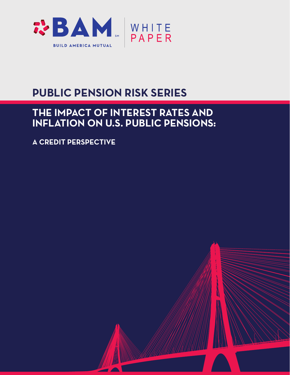

## **PUBLIC PENSION RISK SERIES**

## **THE IMPACT OF INTEREST RATES AND INFLATION ON U.S. PUBLIC PENSIONS:**

**A CREDIT PERSPECTIVE**

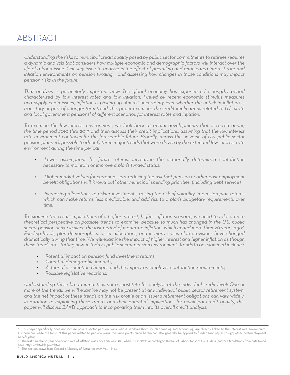## ABSTRACT

*Understanding the risks to municipal credit quality posed by public sector commitments to retirees requires a dynamic analysis that considers how multiple economic and demographic factors will interact over the life of a bond issue. One key issue to analyze is the effect of prevailing and anticipated interest rate and inflation environments on pension funding – and assessing how changes in those conditions may impact pension risks in the future.*

*That analysis is particularly important now: The global economy has experienced a lengthy period characterized by low interest rates and low inflation. Fueled by recent economic stimulus measures and supply chain issues, inflation is picking up. Amidst uncertainty over whether the uptick in inflation is transitory or part of a longer-term trend, this paper examines the credit implications related to U.S. state and local government pensions1 of different scenarios for interest rates and inflation.*

*To examine the low-interest environment, we look back at actual developments that occurred during the time period 2010 thru 2019 and then discuss their credit implications, assuming that the low interest rate environment continues for the foreseeable future. Broadly, across the universe of U.S. public sector pension plans, it's possible to identify three major trends that were driven by the extended low-interest rate environment during the time period:*

- *• Lower assumptions for future returns, increasing the actuarially determined contribution necessary to maintain or improve a plan's funded status.*
- *• Higher market values for current assets, reducing the risk that pension or other post-employment benefit obligations will "crowd out" other municipal spending priorities, (including debt service).*
- *• Increasing allocations to riskier investments, raising the risk of volatility in pension plan returns which can make returns less predictable, and add risk to a plan's budgetary requirements over time.*

*To examine the credit implications of a higher-interest, higher-inflation scenario, we need to take a more theoretical perspective on possible trends to examine, because so much has changed in the U.S. public sector pension universe since the last period of moderate inflation, which ended more than 20 years ago2. Funding levels, plan demographics, asset allocations, and in many cases plan provisions have changed dramatically during that time. We will examine the impact of higher interest and higher inflation as though these trends are starting now, in today's public sector pension environment. Trends to be examined include3:* 

- *• Potential impact on pension fund investment returns;*
- *• Potential demographic impacts;*
- *• Actuarial assumption changes and the impact on employer contribution requirements;*
- *• Possible legislative reactions.*

Understanding these broad impacts is not a substitute for analysis at the individual credit level. One or *more of the trends we will examine may not be present at any individual public sector retirement system, and the net impact of these trends on the risk profile of an issuer's retirement obligations can vary widely. In addition to explaining these trends and their potential implications for municipal credit quality, this paper will discuss BAM's approach to incorporating them into its overall credit analysis.*

This paper specifically does not include private sector pension plans, whose liabilities (both for plan funding and accounting) are directly linked to the interest rate environment. Furthermore, while the focus of this paper relates to pension plans, the same points made herein can also generally be applied to funded (not pay-as-you-go) other postemployment benefit plans.

<sup>&</sup>lt;sup>2</sup> The last time the 10-year compound rate of inflation was above 3% was 1998, when it was 3.12%, according to Bureau of Labor Statistics CPI-U data (author's tabulations from data found here: https://data.bls.gov/data).

<sup>&</sup>lt;sup>3</sup> This section draws from Record of Society of Actuaries 1979, Vol. 5 No.4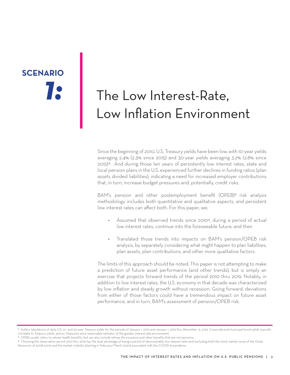# **SCENARIO** *1:*

# The Low Interest-Rate, Low Inflation Environment

Since the beginning of 2010, U.S. Treasury yields have been low, with 10-year yields averaging 2.4% (2.3% since 2015) and 30-year yields averaging 3.2% (2.8% since 2015)*4*. And during those ten years of persistently low interest rates, state and local pension plans in the U.S. experienced further declines in funding ratios (plan assets divided liabilities), indicating a need for increased employer contributions that, in turn, increase budget pressures and, potentially, credit risks.

BAM's pension and other postemployment benefit (OPEB)*5* risk analysis methodology includes both quantitative and qualitative aspects, and persistent low interest rates can affect both. For this paper, we:

- Assumed that observed trends since 2010*6*, during a period of actual low interest rates, continue into the foreseeable future, and then
- Translated those trends into impacts on BAM's pension/OPEB risk analysis, by separately considering what might happen to plan liabilities, plan assets, plan contributions, and other more qualitative factors.

The limits of this approach should be noted: This paper is not attempting to make a prediction of future asset performance (and other trends), but is simply an exercise that projects forward trends of the period 2010 thru 2019. Notably, in addition to low interest rates, the U.S. economy in that decade was characterized by low inflation and steady growth without recession: Going forward, deviations from either of those factors could have a tremendous impact on future asset performance, and in turn, BAM's assessment of pension/OPEB risk.

<sup>4</sup> Author tabulations of daily U.S. 10- and 30-year Treasury yields for the periods of January 1, 2010 and January 1, 2015 thru December 31, 2019. Corporate and municipal bond yields typically correlate to Treasury yields, and so Treasuries are a reasonable indicator of the greater interest rate environment.

<sup>5</sup> OPEB usually refers to retiree health benefits, but can also include retiree life insurance and other benefits that are not pensions.

<sup>6</sup> Choosing the observation period 2010 thru 2019 has the dual advantage of being a period of demonstrably low interest rates and excluding both the stock market noise of the Great Recession of 2008-2009 and the market volatility (starting in February./March 2020) associated with the COVID-19 pandemic.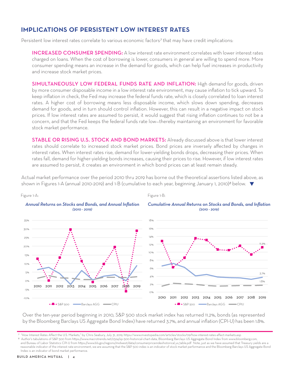## IMPLICATIONS OF PERSISTENT LOW INTEREST RATES

Persistent low interest rates correlate to various economic factors*7* that may have credit implications:

INCREASED CONSUMER SPENDING: A low interest rate environment correlates with lower interest rates charged on loans. When the cost of borrowing is lower, consumers in general are willing to spend more. More consumer spending means an increase in the demand for goods, which can help fuel increases in productivity and increase stock market prices.

SIMULTANEOUSLY LOW FEDERAL FUNDS RATE AND INFLATION: High demand for goods, driven by more consumer disposable income in a low interest rate environment, may cause inflation to tick upward. To keep inflation in check, the Fed may increase the federal funds rate, which is closely correlated to loan interest rates. A higher cost of borrowing means less disposable income, which slows down spending, decreases demand for goods, and in turn should control inflation. However, this can result in a negative impact on stock prices. If low interest rates are assumed to persist, it would suggest that rising inflation continues to not be a concern, and that the Fed keeps the federal funds rate low—thereby maintaining an environment for favorable stock market performance.

STABLE OR RISING U.S. STOCK AND BOND MARKETS: Already discussed above is that lower interest rates should correlate to increased stock market prices. Bond prices are inversely affected by changes in interest rates. When interest rates rise, demand for lower-yielding bonds drops, decreasing their prices. When rates fall, demand for higher-yielding bonds increases, causing their prices to rise. However, if low interest rates are assumed to persist, it creates an environment in which bond prices can at least remain steady.

Actual market performance over the period 2010 thru 2019 has borne out the theoretical assertions listed above, as shown in Figures 1-A (annual 2010-2019) and 1-B (cumulative to each year, beginning January 1, 2010)*8* below.



Over the ten-year period beginning in 2010, S&P 500 stock market index has returned 11.2%, bonds (as represented by the Bloomberg Barclays US Aggregate Bond Index) have returned 3.7%, and annual inflation (CPI-U) has been 1.8%.

<sup>7 &</sup>quot;How Interest Rates Affect the U.S. Markets," by Chris Seabury, July 31, 2019, https://www.investopedia.com/articles/stocks/09/how-interest-rates-affect-markets.asp

<sup>8</sup> Author's tabulations of S&P 500 from https://www.macrotrends.net/2324/sp-500-historical-chart-data, Bloomberg Barclays US Aggregate Bond Index from www.bloomberg.com, and Bureau of Labor Statistics CPI-U from https://www.bls.gov/regions/midwest/data/consumerpriceindexhistorical\_us\_table.pdf Note, just as we have assumed that Treasury yields are a reasonable indicator of the interest rate environment, we are assuming that the S&P 500 index is an indicator of stock market performance and the Bloomberg Barclays US Aggregate Bond Index is an indicator of bond market performance.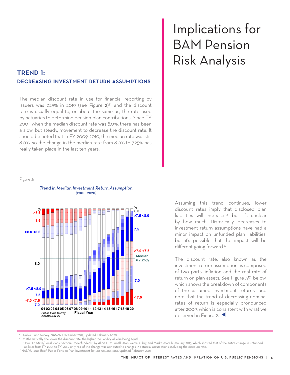### TREND 1: Decreasing investment return assumptions

The median discount rate in use for financial reporting by issuers was  $7.25\%$  in 2019 (see Figure 2)<sup>9</sup>, and the discount rate is usually equal to, or about the same as, the rate used by actuaries to determine pension plan contributions. Since FY 2001, when the median discount rate was 8.0%, there has been a slow, but steady, movement to decrease the discount rate. It should be noted that in FY 2009-2010, the median rate was still 8.0%, so the change in the median rate from 8.0% to 7.25% has really taken place in the last ten years.

## Implications for BAM Pension Risk Analysis

Figure 2:



Assuming this trend continues, lower discount rates imply that disclosed plan liabilities will increase*10*, but it's unclear by how much. Historically, decreases to investment return assumptions have had a minor impact on unfunded plan liabilities, but it's possible that the impact will be different going forward.*11*

The discount rate, also known as the investment return assumption, is comprised of two parts: inflation and the real rate of return on plan assets. See Figure 3*12* below, which shows the breakdown of components of the assumed investment returns, and note that the trend of decreasing nominal rates of return is especially pronounced after 2009, which is consistent with what we observed in Figure 2.

9 Public Fund Survey, NASRA, December 2019, updated February 2020

10 Mathematically, the lower the discount rate, the higher the liability, all else being equal.

11 "How Did State/Local Plans Become Underfunded?" by Alicia H. Munnell, Jean-Pierre Aubry, and Mark Cafarelli, January 2015, which showed that of the entire change in unfunded liabilities from FY 2001 to FY 2013, only 7.1% of the change was attributed to changes in actuarial assumptions, including the discount rate.

12 NASRA Issue Brief: Public Pension Plan Investment Return Assumptions, updated February 2021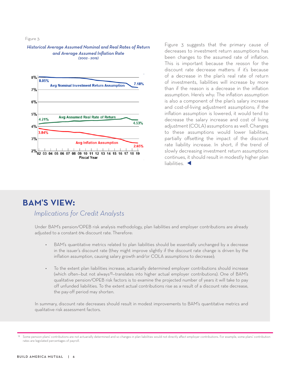Figure 3:

#### *Historical Average Assumed Nominal and Real Rates of Return and Average Assumed Inflation Rate (2002 - 2019)*



Figure 3 suggests that the primary cause of decreases to investment return assumptions has been changes to the assumed rate of inflation. This is important because the *reason* for the discount rate decrease matters: if it's because of a decrease in the plan's real rate of return of investments, liabilities will increase by more than if the reason is a decrease in the inflation assumption. Here's why: The inflation assumption is also a component of the plan's salary increase and cost-of-living adjustment assumptions; if the inflation assumption is lowered, it would tend to decrease the salary increase and cost of living adjustment (COLA) assumptions as well. Changes to these assumptions would lower liabilities, partially offsetting the impact of the discount rate liability increase. In short, if the trend of slowly decreasing investment return assumptions continues, it should result in modestly higher plan liabilities.

## BAM's View:

## *Implications for Credit Analysts*

Under BAM's pension/OPEB risk analysis methodology, plan liabilities and employer contributions are already adjusted to a constant 6% discount rate. Therefore:

- BAM's quantitative metrics related to plan liabilities should be essentially unchanged by a decrease in the issuer's discount rate (they might improve slightly if the discount rate change is driven by the inflation assumption, causing salary growth and/or COLA assumptions to decrease);
- To the extent plan liabilities increase, actuarially determined employer contributions should increase (which often—but not always*13*—translates into higher actual employer contributions). One of BAM's qualitative pension/OPEB risk factors is to examine the projected number of years it will take to pay off unfunded liabilities. To the extent actual contributions rise as a result of a discount rate decrease, the pay-off period may shorten.

In summary, discount rate decreases should result in modest improvements to BAM's quantitative metrics and qualitative risk assessment factors.

<sup>&</sup>lt;sup>13</sup> Some pension plans' contributions are not actuarially determined and so changes in plan liabilities would not directly affect employer contributions. For example, some plans' contribution rates are legislated percentages of payroll.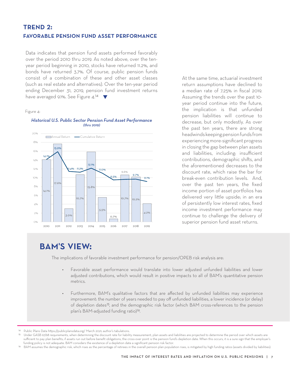### TREND 2: FAVORABLE PENSION FUND ASSET PERFORMANCE

Data indicates that pension fund assets performed favorably over the period 2010 thru 2019. As noted above, over the tenyear period beginning in 2010, stocks have returned 11.2%, and bonds have returned 3.7%. Of course, public pension funds consist of a combination of these and other asset classes (such as real estate and alternatives). Over the ten-year period ending December 31, 2019, pension fund investment returns have averaged 9.1%. See Figure 4.<sup>14</sup>

#### Figure 4:

### *Historical U.S. Public Sector Pension Fund Asset Performance (thru 2019)*



At the same time, actuarial investment return assumptions have declined to a median rate of 7.25% in fiscal 2019. Assuming the trends over the past 10 year period continue into the future, the implication is that unfunded pension liabilities will continue to decrease, but only modestly. As over the past ten years, there are strong headwinds keeping pension funds from experiencing more-significant progress in closing the gap between plan assets and liabilities, including: insufficient contributions, demographic shifts, and the aforementioned decreases to the discount rate, which raise the bar for break-even contribution levels. And, over the past ten years, the fixed income portion of asset portfolios has delivered very little upside; in an era of persistently low interest rates, fixed income investment performance may continue to challenge the delivery of superior pension fund asset returns.

## BAM's View:

The implications of favorable investment performance for pension/OPEB risk analysis are:

- Favorable asset performance would translate into lower adjusted unfunded liabilities and lower adjusted contributions, which would result in positive impacts to all of BAM's quantitative pension metrics.
- Furthermore, BAM's qualitative factors that are affected by unfunded liabilities may experience improvement: the number of years needed to pay off unfunded liabilities, a lower incidence (or delay) of depletion dates*15*, and the demographic risk factor (which BAM cross-references to the pension plan's BAM-adjusted funding ratio)*16*.

<sup>14</sup> Public Plans Data https://publicplansdata.org/ March 2021; author's tabulations.

Under GASB 67/68 requirements, when determining the discount rate for liability measurement, plan assets and liabilities are projected to determine the period over which assets are sufficient to pay plan benefits; if assets run out before benefit obligations, the cross-over point is the pension fund's depletion date. When this occurs, it is a sure sign that the employer's funding policy is not adequate. BAM considers the existence of a depletion date a significant pension risk factor.

BAM assumes the demographic risk, which rises as the percentage of retirees in the overall pension plan population rises, is mitigated by high funding ratios (assets divided by liabilities).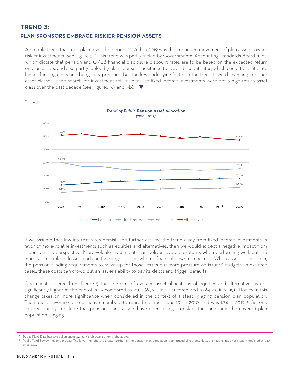## TREND 3: plan sponsors embrace riskier pension assets

A notable trend that took place over the period 2010 thru 2019 was the continued movement of plan assets toward riskier investments. See Figure 5.17 This trend was partly fueled by Governmental Accounting Standards Board rules, which dictate that pension and OPEB financial disclosure discount rates are to be based on the expected return on plan assets, and also partly fueled by plan sponsors' hesitance to lower discount rates, which could translate into higher funding costs and budgetary pressure. But the key underlying factor in the trend toward investing in riskier asset classes is the search for investment return, because fixed income investments were not a high-return asset class over the past decade (see Figures 1-A and 1-B).  $\blacktriangledown$ 



If we assume that low interest rates persist, and further assume the trend away from fixed income investments in favor of more-volatile investments such as equities and alternatives, then we would expect a negative impact from a pension-risk perspective. More-volatile investments can deliver favorable returns when performing well, but are more susceptible to losses, and can face larger losses, when a financial downturn occurs. When asset losses occur, the pension funding requirements to make up for those losses put more pressure on issuers' budgets: in extreme cases, these costs can crowd out an issuer's ability to pay its debts and trigger defaults.

One might observe from Figure 5 that the sum of average asset allocations of equities and alternatives is not significantly higher at the end of 2019 compared to 2010 (63.2% in 2010 compared to 64.2% in 2019). However, this change takes on more significance when considered in the context of a steadily aging pension plan population. The national average ratio of active members to retired members was 1.91 in 2010, and was 1.34 in 2019.*18* So, one can reasonably conclude that pension plans' assets have been taking on risk at the same time the covered plan population is aging.

<sup>17</sup> Public Plans Data https://publicplansdata.org/ March 2021; author's tabulations.

Public Fund Survey, November 2020. The lower the ratio, the greater portion of the pension plan population is comprised of retirees. Note, the national ratio has steadily declined at least since 2002.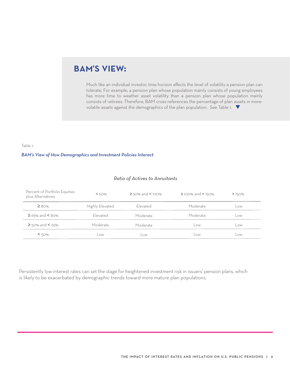## BAM's View:

Much like an individual investor, time horizon affects the level of volatility a pension plan can tolerate. For example, a pension plan whose population mainly consists of young employees has more time to weather asset volatility than a pension plan whose population mainly consists of retirees. Therefore, BAM cross-references the percentage of plan assets in morevolatile assets against the demographics of the plan population. See Table 1.  $\blacktriangledown$ 

### Table 1:

### *BAM's View of How Demographics and Investment Policies Interact*

### *Ratio of Actives to Annuitants*

| Percent of Portfolio Equities<br>plus Alternatives | < 50%           | $\ge$ 50% and < 100% | $\geq$ 100% and < 150% | > 150% |
|----------------------------------------------------|-----------------|----------------------|------------------------|--------|
| $\geq$ 80%                                         | Highly Elevated | Flevated             | Moderate               | Low    |
| ≥ 65% and < 80%                                    | Flevated        | Moderate             | Moderate               | Low    |
| ≥ 50% and < 65%                                    | Moderate        | Moderate             | <b>LOW</b>             | Low    |
| $<$ 50%                                            | _OW             | Low                  | 0W                     | LOW    |

Persistently low interest rates can set the stage for heightened investment risk in issuers' pension plans, which is likely to be exacerbated by demographic trends toward more mature plan populations.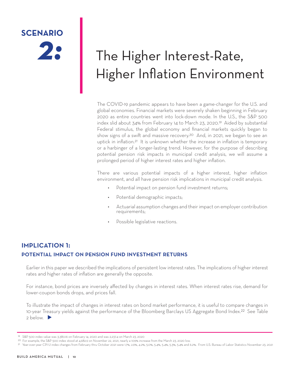# **SCENARIO** *2:*

# The Higher Interest-Rate, Higher Inflation Environment

The COVID-19 pandemic appears to have been a game-changer for the U.S. and global economies. Financial markets were severely shaken beginning in February 2020 as entire countries went into lock-down mode. In the U.S., the S&P 500 index slid about 34% from February 14 to March 23, 2020.*19* Aided by substantial Federal stimulus, the global economy and financial markets quickly began to show signs of a swift and massive recovery.*20* And, in 2021, we began to see an uptick in inflation.*21* It is unknown whether the increase in inflation is temporary or a harbinger of a longer-lasting trend. However, for the purpose of describing potential pension risk impacts in municipal credit analysis, we will assume a prolonged period of higher interest rates and higher inflation.

There are various potential impacts of a higher interest, higher inflation environment, and all have pension risk implications in municipal credit analysis.

- Potential impact on pension fund investment returns;
- Potential demographic impacts;
- Actuarial assumption changes and their impact on employer contribution requirements;
- Possible legislative reactions.

## IMPLICATION 1: POTENTIAL IMPACT ON PENSION FUND INVESTMENT RETURNS

Earlier in this paper we described the implications of persistent low interest rates. The implications of higher interest rates and higher rates of inflation are generally the opposite.

For instance, bond prices are inversely affected by changes in interest rates. When interest rates rise, demand for lower-coupon bonds drops, and prices fall.

To illustrate the impact of changes in interest rates on bond market performance, it is useful to compare changes in 10-year Treasury yields against the performance of the Bloomberg Barclays US Aggregate Bond Index.22 See Table  $2$  below.  $\blacktriangleright$ 

<sup>19</sup> S&P 500 index value was 3,380.16 on February 14, 2020 and was 2,237.4 on March 23, 2020

<sup>20</sup> For example, the S&P 500 index stood at 4,682.9 on November 22, 2021, nearly a 109% increase from the March 23, 2020 low.

<sup>21</sup> Year-over-year CPI-U index changes from February thru October 2021 were 1.7%, 2.6%, 4.2%, 5.0%, 5.4%, 5.4%, 5.3%, 5.4% and 6.2%. From U.S. Bureau of Labor Statistics November 23, 2021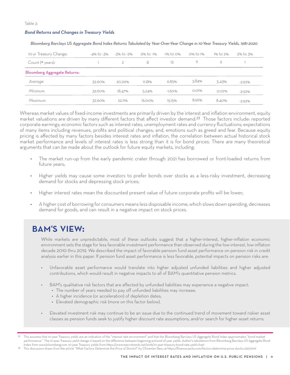Table 2:

### *Bond Returns and Changes in Treasury Yields*

| 10-yr Treasury Change:       | -4% to -3% | -3% to -2% | -2% to -1% | -1% to 0% | 0% to 1% | 1% to 2% | 2% to 3% |
|------------------------------|------------|------------|------------|-----------|----------|----------|----------|
| Count (# years):             |            | 2          | 8          | 13        | $\circ$  | 6        |          |
| Bloomberg Aggregate Returns: |            |            |            |           |          |          |          |
| Average                      | 32.60%     | 20.29%     | 11.18%     | 6.85%     | 3.84%    | 3.43%    | $-2.92%$ |
| Minimum                      | 32.60%     | 18.47%     | 5.24%      | $-1.60\%$ | $O.O1\%$ | $-2.02%$ | $-2.92%$ |
| Maximum                      | 32.60%     | 22.11%     | 16.00%     | 15.15%    | 8.96%    | 8.40%    | $-2.92%$ |

*Bloomberg Barclays US Aggregate Bond Index Returns Tabulated by Year-Over-Year Change in 10-Year Treasury Yields, 1981-2020*

Whereas market values of fixed-income investments are primarily driven by the interest and inflation environment, equity market valuations are driven by many different factors that affect investor demand.*23* Those factors include: reported corporate earnings; economic factors such as interest rates, unemployment rates and currency fluctuations; expectations of many items including revenues, profits and political changes; and, emotions such as greed and fear. Because equity pricing is affected by many factors besides interest rates and inflation, the correlation between actual historical stock market performance and levels of interest rates is less strong than it is for bond prices. There are many theoretical arguments that can be made about the outlook for future equity markets, including:

- The market run-up from the early pandemic crater through 2021 has borrowed or front-loaded returns from future years;
- Higher yields may cause some investors to prefer bonds over stocks as a less-risky investment, decreasing demand for stocks and depressing stock prices;
- Higher interest rates mean the discounted present value of future corporate profits will be lower;
- A higher cost of borrowing for consumers means less disposable income, which slows down spending, decreases demand for goods, and can result in a negative impact on stock prices.

## BAM's View:

While markets are unpredictable, most of these outlooks suggest that a higher-interest, higher-inflation economic environment sets the stage for less favorable investment performance than observed during the low-interest, low-inflation decade 2010 thru 2019. We described the impact of favorable pension fund asset performance on pension risk in credit analysis earlier in this paper. If pension fund asset performance is less favorable, potential impacts on pension risks are:

- Unfavorable asset performance would translate into higher adjusted unfunded liabilities and higher adjusted contributions, which would result in negative impacts to all of BAM's quantitative pension metrics.
- BAM's qualitative risk factors that are affected by unfunded liabilities may experience a negative impact:
	- The number of years needed to pay off unfunded liabilities may increase;
	- A higher incidence (or acceleration) of depletion dates;
	- Elevated demographic risk (more on this factor below).
- Elevated investment risk may continue to be an issue due to the continued trend of movement toward riskier asset classes as pension funds seek to justify higher discount rate assumptions, and/or search for higher asset returns.

23 This discussion draws from the article "What Factors Determine the Price of Stocks?" by Chirantan Basu at https://finance.zacks.com/factors-determine-price-stocks-2313.html

<sup>22</sup> This assumes that 10-year Treasury yields are an indication of the "interest rate environment" and that the Bloomberg Barclays US Aggregate Bond Index approximates "bond market performance." The 10-year Treasury yield change is based on the difference between beginning and end of year yields. Author's tabulations from Bloomberg Barclays US Aggregate Bond Index from www.bloomberg.com, 10-year Treasury yields from https://www.macrotrends.net/2016/10-year-treasury-bond-rate-yield-chart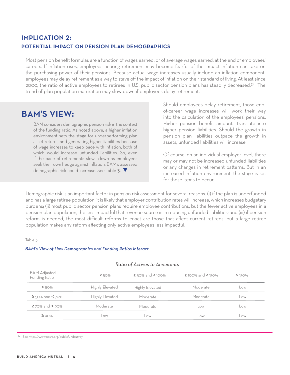## IMPLICATION 2: POTENTIAL IMPACT ON PENSION PLAN DEMOGRAPHICS

Most pension benefit formulas are a function of wages earned, or of average wages earned, at the end of employees' careers. If inflation rises, employees nearing retirement may become fearful of the impact inflation can take on the purchasing power of their pensions. Because actual wage increases usually include an inflation component, employees may delay retirement as a way to stave off the impact of inflation on their standard of living. At least since 2000, the ratio of active employees to retirees in U.S. public sector pension plans has steadily decreased.24 The trend of plan population maturation may slow down if employees delay retirement.

## BAM's View:

BAM considers demographic pension risk in the context of the funding ratio. As noted above, a higher inflation environment sets the stage for underperforming plan asset returns and generating higher liabilities because of wage increases to keep pace with inflation, both of which would increase unfunded liabilities. So, even if the pace of retirements slows down as employees seek their own hedge against inflation, BAM's assessed demographic risk could increase. See Table 3. ▼

Should employees delay retirement, those endof-career wage increases will work their way into the calculation of the employees' pensions. Higher pension benefit amounts translate into higher pension liabilities. Should the growth in pension plan liabilities outpace the growth in assets, unfunded liabilities will increase.

Of course, on an individual employer level, there may or may not be increased unfunded liabilities or any changes in retirement patterns. But in an increased inflation environment, the stage is set for these items to occur.

Demographic risk is an important factor in pension risk assessment for several reasons: (i) if the plan is underfunded and has a large retiree population, it is likely that employer contribution rates will increase, which increases budgetary burdens; (ii) most public sector pension plans require employee contributions, but the fewer active employees in a pension plan population, the less impactful that revenue source is in reducing unfunded liabilities; and (iii) if pension reform is needed, the most difficult reforms to enact are those that affect current retirees, but a large retiree population makes any reform affecting only active employees less impactful.

### Table 3:

### *BAM's View of How Demographics and Funding Ratios Interact*

### *Ratio of Actives to Annuitants*

| <b>BAM-Adjusted</b><br>Funding Ratio | < 50%           | $\geq$ 50% and < 100% | ≥ 100% and < 150% | >150% |
|--------------------------------------|-----------------|-----------------------|-------------------|-------|
| $<$ 50%                              | Highly Elevated | Highly Elevated       | Moderate          | LOW.  |
| $\geq$ 50% and < 70%                 | Highly Elevated | Moderate              | Moderate          | _OW   |
| ≥ 70% and < 90%                      | Moderate        | Moderate              | l ow              | LOW.  |
| $\geq$ 90%                           | Low             | Low                   | ∟OW               | _OW   |

24 See https://www.nasra.org/publicfundsurvey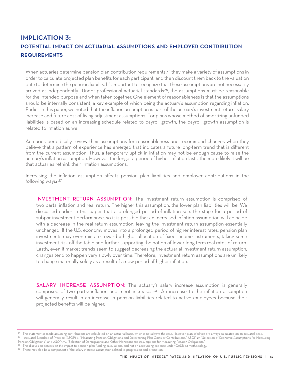## IMPLICATION 3: POTENTIAL IMPACT ON actuarial assumptions and employer contribution **REQUIREMENTS**

When actuaries determine pension plan contribution requirements,<sup>25</sup> they make a variety of assumptions in order to calculate projected plan benefits for each participant, and then discount them back to the valuation date to determine the pension liability. It's important to recognize that these assumptions are not necessarily arrived at independently. Under professional actuarial standards<sup>26</sup>, the assumptions must be reasonable for the intended purpose and when taken together. One element of reasonableness is that the assumptions should be internally consistent, a key example of which being the actuary's assumption regarding inflation. Earlier in this paper, we noted that the inflation assumption is part of the actuary's investment return, salary increase and future cost-of-living adjustment assumptions. For plans whose method of amortizing unfunded liabilities is based on an increasing schedule related to payroll growth, the payroll growth assumption is related to inflation as well.

Actuaries periodically review their assumptions for reasonableness and recommend changes when they believe that a pattern of experience has emerged that indicates a future long-term trend that is different from the current assumption. Thus, a temporary uptick in inflation may not be enough cause to raise the actuary's inflation assumption. However, the longer a period of higher inflation lasts, the more likely it will be that actuaries rethink their inflation assumptions.

Increasing the inflation assumption affects pension plan liabilities and employer contributions in the following ways: *27*

INVESTMENT RETURN ASSUMPTION: The investment return assumption is comprised of two parts: inflation and real return. The higher this assumption, the lower plan liabilities will be. We discussed earlier in this paper that a prolonged period of inflation sets the stage for a period of subpar investment performance, so it is possible that an increased inflation assumption will coincide with a decrease in the real return assumption, leaving the investment return assumption essentially unchanged. If the U.S. economy moves into a prolonged period of higher interest rates, pension plan investments may even migrate toward a higher allocation of fixed income instruments, taking some investment risk off the table and further supporting the notion of lower long-term real rates of return. Lastly, even if market trends seem to suggest decreasing the actuarial investment return assumption, changes tend to happen very slowly over time. Therefore, investment return assumptions are unlikely to change materially solely as a result of a new period of higher inflation.

**SALARY INCREASE ASSUMPTION:** The actuary's salary increase assumption is generally comprised of two parts: inflation and merit increases.*28* An increase to the inflation assumption will generally result in an increase in pension liabilities related to active employees because their projected benefits will be higher.

<sup>&</sup>lt;sup>25</sup> This statement is made assuming contributions are calculated on an actuarial basis, which is not always the case. However, plan liabilities are always calculated on an actuarial basis. 26 Actuarial Standard of Practice (ASOP) 4, "Measuring Pension Obligations and Determining Plan Costs or Contributions," ASOP 27, "Selection of Economic Assumptions for Measuring Pension Obligations," and ASOP 35, "Selection of Demographic and Other Noneconomic Assumptions for Measuring Pension Obligations."

<sup>27</sup> This discussion centers on the impact to pension plan funding calculations, and not on accounting expense under GASB 68 methodology.

<sup>&</sup>lt;sup>28</sup> There may also be a component of the salary increase assumption related to progression and promotion.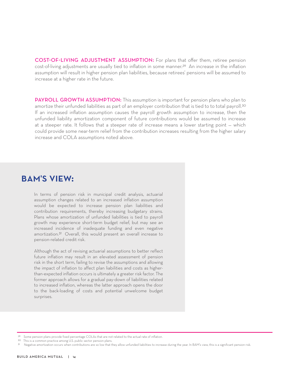COST-OF-LIVING ADJUSTMENT ASSUMPTION: For plans that offer them, retiree pension cost-of-living adjustments are usually tied to inflation in some manner.*29* An increase in the inflation assumption will result in higher pension plan liabilities, because retirees' pensions will be assumed to increase at a higher rate in the future.

**PAYROLL GROWTH ASSUMPTION:** This assumption is important for pension plans who plan to amortize their unfunded liabilities as part of an employer contribution that is tied to to total payroll.*30* If an increased inflation assumption causes the payroll growth assumption to increase, then the unfunded liability amortization component of future contributions would be assumed to increase at a steeper rate. It follows that a steeper rate of increase means a lower starting point — which could provide some near-term relief from the contribution increases resulting from the higher salary increase and COLA assumptions noted above.

## BAM's View:

In terms of pension risk in municipal credit analysis, actuarial assumption changes related to an increased inflation assumption would be expected to increase pension plan liabilities and contribution requirements, thereby increasing budgetary strains. Plans whose amortization of unfunded liabilities is tied to payroll growth may experience short-term budget relief, but may see an increased incidence of inadequate funding and even negative amortization.*31* Overall, this would present an overall increase to pension-related credit risk.

Although the act of revising actuarial assumptions to better reflect future inflation may result in an elevated assessment of pension risk in the short term, failing to revise the assumptions and allowing the impact of inflation to affect plan liabilities and costs as higherthan-expected inflation occurs is ultimately a greater risk factor. The former approach allows for a gradual pay-down of liabilities related to increased inflation, whereas the latter approach opens the door to the back-loading of costs and potential unwelcome budget surprises.

<sup>&</sup>lt;sup>29</sup> Some pension plans provide fixed percentage COLAs that are not related to the actual rate of inflation.

<sup>30</sup> This is a common practice among U.S. public sector pension plans.

<sup>&</sup>lt;sup>31</sup> Negative amortization occurs when contributions are so low that they allow unfunded liabilities to increase during the year. In BAM's view, this is a significant pension risk.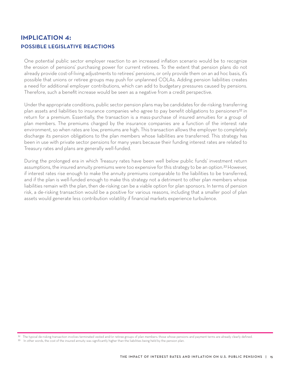### IMPLICATION 4: POssible legislative reactions

One potential public sector employer reaction to an increased inflation scenario would be to recognize the erosion of pensions' purchasing power for current retirees. To the extent that pension plans do not already provide cost-of-living adjustments to retirees' pensions, or only provide them on an ad hoc basis, it's possible that unions or retiree groups may push for unplanned COLAs. Adding pension liabilities creates a need for additional employer contributions, which can add to budgetary pressures caused by pensions. Therefore, such a benefit increase would be seen as a negative from a credit perspective.

Under the appropriate conditions, public sector pension plans may be candidates for de-risking: transferring plan assets and liabilities to insurance companies who agree to pay benefit obligations to pensioners*32* in return for a premium. Essentially, the transaction is a mass-purchase of insured annuities for a group of plan members. The premiums charged by the insurance companies are a function of the interest rate environment, so when rates are low, premiums are high. This transaction allows the employer to completely discharge its pension obligations to the plan members whose liabilities are transferred. This strategy has been in use with private sector pensions for many years because their funding interest rates are related to Treasury rates and plans are generally well-funded.

During the prolonged era in which Treasury rates have been well below public funds' investment return assumptions, the insured annuity premiums were too expensive for this strategy to be an option.*33* However, if interest rates rise enough to make the annuity premiums comparable to the liabilities to be transferred, and if the plan is well-funded enough to make this strategy not a detriment to other plan members whose liabilities remain with the plan, then de-risking can be a viable option for plan sponsors. In terms of pension risk, a de-risking transaction would be a positive for various reasons, including that a smaller pool of plan assets would generate less contribution volatility if financial markets experience turbulence.

<sup>32</sup> The typical de-risking transaction involves terminated vested and/or retiree groups of plan members: those whose pensions and payment terms are already clearly defined.

In other words, the cost of the insured annuity was significantly higher than the liabilities being held by the pension plan.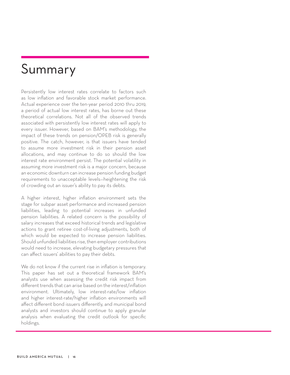## Summary

Persistently low interest rates correlate to factors such as low inflation and favorable stock market performance. Actual experience over the ten-year period 2010 thru 2019, a period of actual low interest rates, has borne out these theoretical correlations. Not all of the observed trends associated with persistently low interest rates will apply to every issuer. However, based on BAM's methodology, the impact of these trends on pension/OPEB risk is generally positive. The catch, however, is that issuers have tended to assume more investment risk in their pension asset allocations, and may continue to do so should the low interest rate environment persist. The potential volatility in assuming more investment risk is a major concern, because an economic downturn can increase pension funding budget requirements to unacceptable levels—heightening the risk of crowding out an issuer's ability to pay its debts.

A higher interest, higher inflation environment sets the stage for subpar asset performance and increased pension liabilities, leading to potential increases in unfunded pension liabilities. A related concern is the possibility of salary increases that exceed historical trends and legislative actions to grant retiree cost-of-living adjustments, both of which would be expected to increase pension liabilities. Should unfunded liabilities rise, then employer contributions would need to increase, elevating budgetary pressures that can affect issuers' abilities to pay their debts.

We do not know if the current rise in inflation is temporary. This paper has set out a theoretical framework BAM's analysts use when assessing the credit risk impact from different trends that can arise based on the interest/inflation environment. Ultimately, low interest-rate/low inflation and higher interest-rate/higher inflation environments will affect different bond issuers differently, and municipal bond analysts and investors should continue to apply granular analysis when evaluating the credit outlook for specific holdings.